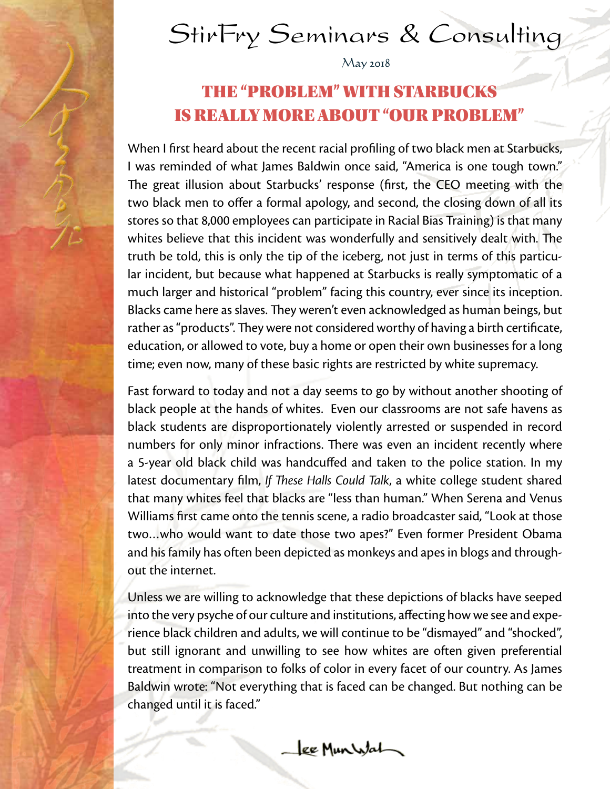

# StirFry Seminars & Consulting

 $May 2018$ 

### THE "PROBLEM" WITH STARBUCKS IS REALLY MORE ABOUT "OUR PROBLEM"

When I first heard about the recent racial profiling of two black men at Starbucks, I was reminded of what James Baldwin once said, "America is one tough town." The great illusion about Starbucks' response (first, the CEO meeting with the two black men to offer a formal apology, and second, the closing down of all its stores so that 8,000 employees can participate in Racial Bias Training) is that many whites believe that this incident was wonderfully and sensitively dealt with. The truth be told, this is only the tip of the iceberg, not just in terms of this particular incident, but because what happened at Starbucks is really symptomatic of a much larger and historical "problem" facing this country, ever since its inception. Blacks came here as slaves. They weren't even acknowledged as human beings, but rather as "products". They were not considered worthy of having a birth certificate, education, or allowed to vote, buy a home or open their own businesses for a long time; even now, many of these basic rights are restricted by white supremacy.

Fast forward to today and not a day seems to go by without another shooting of black people at the hands of whites. Even our classrooms are not safe havens as black students are disproportionately violently arrested or suspended in record numbers for only minor infractions. There was even an incident recently where a 5-year old black child was handcuffed and taken to the police station. In my latest documentary film, *If These Halls Could Talk*, a white college student shared that many whites feel that blacks are "less than human." When Serena and Venus Williams first came onto the tennis scene, a radio broadcaster said, "Look at those two…who would want to date those two apes?" Even former President Obama and his family has often been depicted as monkeys and apes in blogs and throughout the internet.

Unless we are willing to acknowledge that these depictions of blacks have seeped into the very psyche of our culture and institutions, affecting how we see and experience black children and adults, we will continue to be "dismayed" and "shocked", but still ignorant and unwilling to see how whites are often given preferential treatment in comparison to folks of color in every facet of our country. As James Baldwin wrote: "Not everything that is faced can be changed. But nothing can be changed until it is faced."

Lee Munistal